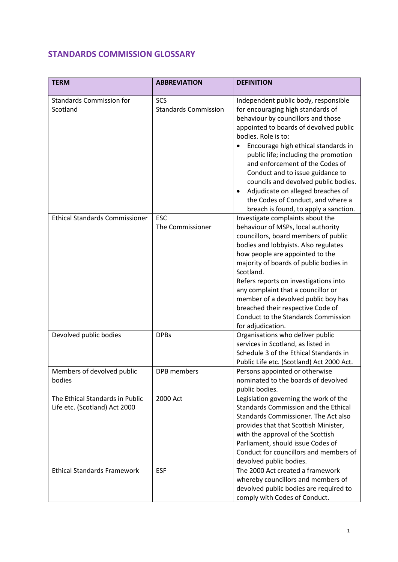## **STANDARDS COMMISSION GLOSSARY**

| <b>TERM</b>                                                      | <b>ABBREVIATION</b>            | <b>DEFINITION</b>                                                                                                                                                                                                                                                                                                                                                                                                                                                                                                |
|------------------------------------------------------------------|--------------------------------|------------------------------------------------------------------------------------------------------------------------------------------------------------------------------------------------------------------------------------------------------------------------------------------------------------------------------------------------------------------------------------------------------------------------------------------------------------------------------------------------------------------|
| <b>Standards Commission for</b>                                  | <b>SCS</b>                     | Independent public body, responsible                                                                                                                                                                                                                                                                                                                                                                                                                                                                             |
| Scotland                                                         | <b>Standards Commission</b>    | for encouraging high standards of<br>behaviour by councillors and those<br>appointed to boards of devolved public<br>bodies. Role is to:<br>Encourage high ethical standards in<br>public life; including the promotion<br>and enforcement of the Codes of<br>Conduct and to issue guidance to<br>councils and devolved public bodies.<br>Adjudicate on alleged breaches of<br>the Codes of Conduct, and where a                                                                                                 |
| <b>Ethical Standards Commissioner</b>                            | <b>ESC</b><br>The Commissioner | breach is found, to apply a sanction.<br>Investigate complaints about the<br>behaviour of MSPs, local authority<br>councillors, board members of public<br>bodies and lobbyists. Also regulates<br>how people are appointed to the<br>majority of boards of public bodies in<br>Scotland.<br>Refers reports on investigations into<br>any complaint that a councillor or<br>member of a devolved public boy has<br>breached their respective Code of<br>Conduct to the Standards Commission<br>for adjudication. |
| Devolved public bodies                                           | <b>DPBs</b>                    | Organisations who deliver public<br>services in Scotland, as listed in<br>Schedule 3 of the Ethical Standards in<br>Public Life etc. (Scotland) Act 2000 Act.                                                                                                                                                                                                                                                                                                                                                    |
| Members of devolved public<br>bodies                             | DPB members                    | Persons appointed or otherwise<br>nominated to the boards of devolved<br>public bodies.                                                                                                                                                                                                                                                                                                                                                                                                                          |
| The Ethical Standards in Public<br>Life etc. (Scotland) Act 2000 | 2000 Act                       | Legislation governing the work of the<br><b>Standards Commission and the Ethical</b><br>Standards Commissioner. The Act also<br>provides that that Scottish Minister,<br>with the approval of the Scottish<br>Parliament, should issue Codes of<br>Conduct for councillors and members of<br>devolved public bodies.                                                                                                                                                                                             |
| <b>Ethical Standards Framework</b>                               | <b>ESF</b>                     | The 2000 Act created a framework<br>whereby councillors and members of<br>devolved public bodies are required to<br>comply with Codes of Conduct.                                                                                                                                                                                                                                                                                                                                                                |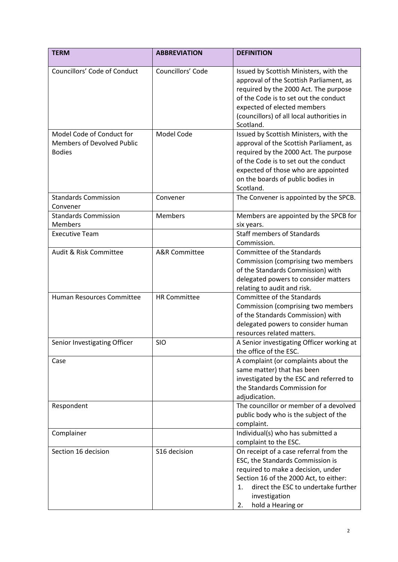| <b>TERM</b>                                                                     | <b>ABBREVIATION</b>      | <b>DEFINITION</b>                                                                                                                                                                                                                                            |
|---------------------------------------------------------------------------------|--------------------------|--------------------------------------------------------------------------------------------------------------------------------------------------------------------------------------------------------------------------------------------------------------|
| Councillors' Code of Conduct                                                    | Councillors' Code        | Issued by Scottish Ministers, with the<br>approval of the Scottish Parliament, as<br>required by the 2000 Act. The purpose<br>of the Code is to set out the conduct<br>expected of elected members<br>(councillors) of all local authorities in<br>Scotland. |
| Model Code of Conduct for<br><b>Members of Devolved Public</b><br><b>Bodies</b> | Model Code               | Issued by Scottish Ministers, with the<br>approval of the Scottish Parliament, as<br>required by the 2000 Act. The purpose<br>of the Code is to set out the conduct<br>expected of those who are appointed<br>on the boards of public bodies in<br>Scotland. |
| <b>Standards Commission</b><br>Convener                                         | Convener                 | The Convener is appointed by the SPCB.                                                                                                                                                                                                                       |
| <b>Standards Commission</b><br><b>Members</b><br><b>Executive Team</b>          | <b>Members</b>           | Members are appointed by the SPCB for<br>six years.<br><b>Staff members of Standards</b>                                                                                                                                                                     |
| Audit & Risk Committee                                                          | <b>A&amp;R</b> Committee | Commission.<br>Committee of the Standards<br>Commission (comprising two members<br>of the Standards Commission) with<br>delegated powers to consider matters<br>relating to audit and risk.                                                                  |
| Human Resources Committee                                                       | <b>HR Committee</b>      | Committee of the Standards<br>Commission (comprising two members<br>of the Standards Commission) with<br>delegated powers to consider human<br>resources related matters.                                                                                    |
| Senior Investigating Officer                                                    | <b>SIO</b>               | A Senior investigating Officer working at<br>the office of the ESC.                                                                                                                                                                                          |
| Case                                                                            |                          | A complaint (or complaints about the<br>same matter) that has been<br>investigated by the ESC and referred to<br>the Standards Commission for<br>adjudication.                                                                                               |
| Respondent                                                                      |                          | The councillor or member of a devolved<br>public body who is the subject of the<br>complaint.                                                                                                                                                                |
| Complainer                                                                      |                          | Individual(s) who has submitted a<br>complaint to the ESC.                                                                                                                                                                                                   |
| Section 16 decision                                                             | S16 decision             | On receipt of a case referral from the<br>ESC, the Standards Commission is<br>required to make a decision, under<br>Section 16 of the 2000 Act, to either:<br>direct the ESC to undertake further<br>1.<br>investigation<br>hold a Hearing or<br>2.          |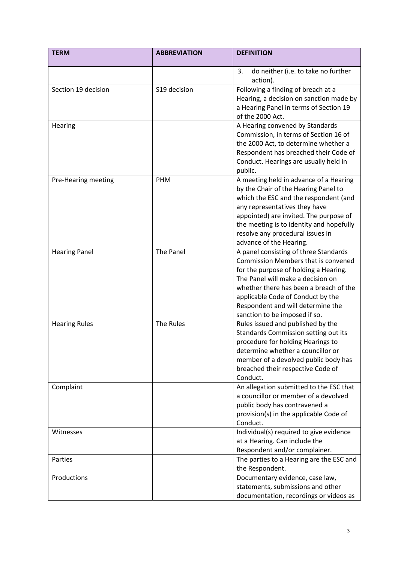| <b>TERM</b>          | <b>ABBREVIATION</b> | <b>DEFINITION</b>                                                                                                                                                                                                                                                                                               |
|----------------------|---------------------|-----------------------------------------------------------------------------------------------------------------------------------------------------------------------------------------------------------------------------------------------------------------------------------------------------------------|
|                      |                     | do neither (i.e. to take no further<br>3.<br>action).                                                                                                                                                                                                                                                           |
| Section 19 decision  | S19 decision        | Following a finding of breach at a<br>Hearing, a decision on sanction made by<br>a Hearing Panel in terms of Section 19                                                                                                                                                                                         |
| Hearing              |                     | of the 2000 Act.<br>A Hearing convened by Standards<br>Commission, in terms of Section 16 of                                                                                                                                                                                                                    |
|                      |                     | the 2000 Act, to determine whether a<br>Respondent has breached their Code of<br>Conduct. Hearings are usually held in<br>public.                                                                                                                                                                               |
| Pre-Hearing meeting  | PHM                 | A meeting held in advance of a Hearing<br>by the Chair of the Hearing Panel to<br>which the ESC and the respondent (and<br>any representatives they have<br>appointed) are invited. The purpose of<br>the meeting is to identity and hopefully<br>resolve any procedural issues in<br>advance of the Hearing.   |
| <b>Hearing Panel</b> | The Panel           | A panel consisting of three Standards<br>Commission Members that is convened<br>for the purpose of holding a Hearing.<br>The Panel will make a decision on<br>whether there has been a breach of the<br>applicable Code of Conduct by the<br>Respondent and will determine the<br>sanction to be imposed if so. |
| <b>Hearing Rules</b> | The Rules           | Rules issued and published by the<br>Standards Commission setting out its<br>procedure for holding Hearings to<br>determine whether a councillor or<br>member of a devolved public body has<br>breached their respective Code of<br>Conduct.                                                                    |
| Complaint            |                     | An allegation submitted to the ESC that<br>a councillor or member of a devolved<br>public body has contravened a<br>provision(s) in the applicable Code of<br>Conduct.                                                                                                                                          |
| Witnesses            |                     | Individual(s) required to give evidence<br>at a Hearing. Can include the<br>Respondent and/or complainer.                                                                                                                                                                                                       |
| Parties              |                     | The parties to a Hearing are the ESC and<br>the Respondent.                                                                                                                                                                                                                                                     |
| Productions          |                     | Documentary evidence, case law,<br>statements, submissions and other<br>documentation, recordings or videos as                                                                                                                                                                                                  |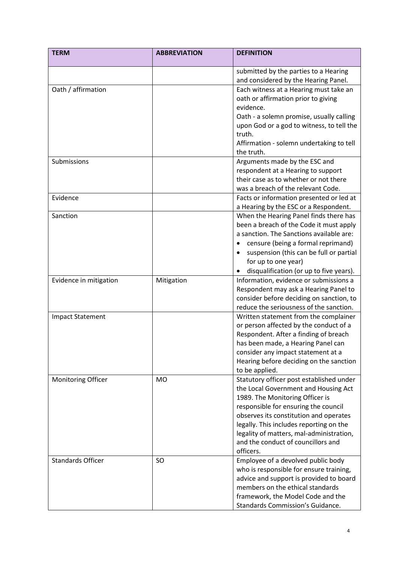|                                                                               | <b>ABBREVIATION</b>     | <b>DEFINITION</b>                                                                                                                                                                                                                                                                                                                                                                                                                                                                                                                                                                                                                                                                                                                                                                                                                                                                                                                                                                                                                                                                                                                                                                |
|-------------------------------------------------------------------------------|-------------------------|----------------------------------------------------------------------------------------------------------------------------------------------------------------------------------------------------------------------------------------------------------------------------------------------------------------------------------------------------------------------------------------------------------------------------------------------------------------------------------------------------------------------------------------------------------------------------------------------------------------------------------------------------------------------------------------------------------------------------------------------------------------------------------------------------------------------------------------------------------------------------------------------------------------------------------------------------------------------------------------------------------------------------------------------------------------------------------------------------------------------------------------------------------------------------------|
|                                                                               |                         | submitted by the parties to a Hearing<br>and considered by the Hearing Panel.                                                                                                                                                                                                                                                                                                                                                                                                                                                                                                                                                                                                                                                                                                                                                                                                                                                                                                                                                                                                                                                                                                    |
| Oath / affirmation                                                            |                         | Each witness at a Hearing must take an                                                                                                                                                                                                                                                                                                                                                                                                                                                                                                                                                                                                                                                                                                                                                                                                                                                                                                                                                                                                                                                                                                                                           |
|                                                                               |                         |                                                                                                                                                                                                                                                                                                                                                                                                                                                                                                                                                                                                                                                                                                                                                                                                                                                                                                                                                                                                                                                                                                                                                                                  |
|                                                                               |                         |                                                                                                                                                                                                                                                                                                                                                                                                                                                                                                                                                                                                                                                                                                                                                                                                                                                                                                                                                                                                                                                                                                                                                                                  |
|                                                                               |                         |                                                                                                                                                                                                                                                                                                                                                                                                                                                                                                                                                                                                                                                                                                                                                                                                                                                                                                                                                                                                                                                                                                                                                                                  |
|                                                                               |                         |                                                                                                                                                                                                                                                                                                                                                                                                                                                                                                                                                                                                                                                                                                                                                                                                                                                                                                                                                                                                                                                                                                                                                                                  |
|                                                                               |                         |                                                                                                                                                                                                                                                                                                                                                                                                                                                                                                                                                                                                                                                                                                                                                                                                                                                                                                                                                                                                                                                                                                                                                                                  |
|                                                                               |                         |                                                                                                                                                                                                                                                                                                                                                                                                                                                                                                                                                                                                                                                                                                                                                                                                                                                                                                                                                                                                                                                                                                                                                                                  |
|                                                                               |                         | the truth.                                                                                                                                                                                                                                                                                                                                                                                                                                                                                                                                                                                                                                                                                                                                                                                                                                                                                                                                                                                                                                                                                                                                                                       |
| Submissions                                                                   |                         |                                                                                                                                                                                                                                                                                                                                                                                                                                                                                                                                                                                                                                                                                                                                                                                                                                                                                                                                                                                                                                                                                                                                                                                  |
|                                                                               |                         | respondent at a Hearing to support                                                                                                                                                                                                                                                                                                                                                                                                                                                                                                                                                                                                                                                                                                                                                                                                                                                                                                                                                                                                                                                                                                                                               |
|                                                                               |                         | their case as to whether or not there                                                                                                                                                                                                                                                                                                                                                                                                                                                                                                                                                                                                                                                                                                                                                                                                                                                                                                                                                                                                                                                                                                                                            |
|                                                                               |                         | was a breach of the relevant Code.                                                                                                                                                                                                                                                                                                                                                                                                                                                                                                                                                                                                                                                                                                                                                                                                                                                                                                                                                                                                                                                                                                                                               |
| Evidence                                                                      |                         | Facts or information presented or led at                                                                                                                                                                                                                                                                                                                                                                                                                                                                                                                                                                                                                                                                                                                                                                                                                                                                                                                                                                                                                                                                                                                                         |
|                                                                               |                         | a Hearing by the ESC or a Respondent.                                                                                                                                                                                                                                                                                                                                                                                                                                                                                                                                                                                                                                                                                                                                                                                                                                                                                                                                                                                                                                                                                                                                            |
| Sanction                                                                      |                         | When the Hearing Panel finds there has                                                                                                                                                                                                                                                                                                                                                                                                                                                                                                                                                                                                                                                                                                                                                                                                                                                                                                                                                                                                                                                                                                                                           |
|                                                                               |                         | been a breach of the Code it must apply                                                                                                                                                                                                                                                                                                                                                                                                                                                                                                                                                                                                                                                                                                                                                                                                                                                                                                                                                                                                                                                                                                                                          |
|                                                                               |                         |                                                                                                                                                                                                                                                                                                                                                                                                                                                                                                                                                                                                                                                                                                                                                                                                                                                                                                                                                                                                                                                                                                                                                                                  |
|                                                                               |                         | censure (being a formal reprimand)                                                                                                                                                                                                                                                                                                                                                                                                                                                                                                                                                                                                                                                                                                                                                                                                                                                                                                                                                                                                                                                                                                                                               |
|                                                                               |                         | suspension (this can be full or partial                                                                                                                                                                                                                                                                                                                                                                                                                                                                                                                                                                                                                                                                                                                                                                                                                                                                                                                                                                                                                                                                                                                                          |
|                                                                               |                         |                                                                                                                                                                                                                                                                                                                                                                                                                                                                                                                                                                                                                                                                                                                                                                                                                                                                                                                                                                                                                                                                                                                                                                                  |
|                                                                               |                         |                                                                                                                                                                                                                                                                                                                                                                                                                                                                                                                                                                                                                                                                                                                                                                                                                                                                                                                                                                                                                                                                                                                                                                                  |
|                                                                               |                         |                                                                                                                                                                                                                                                                                                                                                                                                                                                                                                                                                                                                                                                                                                                                                                                                                                                                                                                                                                                                                                                                                                                                                                                  |
|                                                                               |                         |                                                                                                                                                                                                                                                                                                                                                                                                                                                                                                                                                                                                                                                                                                                                                                                                                                                                                                                                                                                                                                                                                                                                                                                  |
|                                                                               |                         |                                                                                                                                                                                                                                                                                                                                                                                                                                                                                                                                                                                                                                                                                                                                                                                                                                                                                                                                                                                                                                                                                                                                                                                  |
|                                                                               |                         |                                                                                                                                                                                                                                                                                                                                                                                                                                                                                                                                                                                                                                                                                                                                                                                                                                                                                                                                                                                                                                                                                                                                                                                  |
|                                                                               |                         |                                                                                                                                                                                                                                                                                                                                                                                                                                                                                                                                                                                                                                                                                                                                                                                                                                                                                                                                                                                                                                                                                                                                                                                  |
|                                                                               |                         |                                                                                                                                                                                                                                                                                                                                                                                                                                                                                                                                                                                                                                                                                                                                                                                                                                                                                                                                                                                                                                                                                                                                                                                  |
|                                                                               |                         |                                                                                                                                                                                                                                                                                                                                                                                                                                                                                                                                                                                                                                                                                                                                                                                                                                                                                                                                                                                                                                                                                                                                                                                  |
|                                                                               |                         |                                                                                                                                                                                                                                                                                                                                                                                                                                                                                                                                                                                                                                                                                                                                                                                                                                                                                                                                                                                                                                                                                                                                                                                  |
|                                                                               |                         |                                                                                                                                                                                                                                                                                                                                                                                                                                                                                                                                                                                                                                                                                                                                                                                                                                                                                                                                                                                                                                                                                                                                                                                  |
|                                                                               |                         |                                                                                                                                                                                                                                                                                                                                                                                                                                                                                                                                                                                                                                                                                                                                                                                                                                                                                                                                                                                                                                                                                                                                                                                  |
| Monitoring Officer                                                            | <b>MO</b>               | Statutory officer post established under                                                                                                                                                                                                                                                                                                                                                                                                                                                                                                                                                                                                                                                                                                                                                                                                                                                                                                                                                                                                                                                                                                                                         |
|                                                                               |                         | the Local Government and Housing Act                                                                                                                                                                                                                                                                                                                                                                                                                                                                                                                                                                                                                                                                                                                                                                                                                                                                                                                                                                                                                                                                                                                                             |
|                                                                               |                         | 1989. The Monitoring Officer is                                                                                                                                                                                                                                                                                                                                                                                                                                                                                                                                                                                                                                                                                                                                                                                                                                                                                                                                                                                                                                                                                                                                                  |
|                                                                               |                         | responsible for ensuring the council                                                                                                                                                                                                                                                                                                                                                                                                                                                                                                                                                                                                                                                                                                                                                                                                                                                                                                                                                                                                                                                                                                                                             |
|                                                                               |                         | observes its constitution and operates                                                                                                                                                                                                                                                                                                                                                                                                                                                                                                                                                                                                                                                                                                                                                                                                                                                                                                                                                                                                                                                                                                                                           |
|                                                                               |                         |                                                                                                                                                                                                                                                                                                                                                                                                                                                                                                                                                                                                                                                                                                                                                                                                                                                                                                                                                                                                                                                                                                                                                                                  |
|                                                                               |                         |                                                                                                                                                                                                                                                                                                                                                                                                                                                                                                                                                                                                                                                                                                                                                                                                                                                                                                                                                                                                                                                                                                                                                                                  |
|                                                                               |                         |                                                                                                                                                                                                                                                                                                                                                                                                                                                                                                                                                                                                                                                                                                                                                                                                                                                                                                                                                                                                                                                                                                                                                                                  |
|                                                                               |                         |                                                                                                                                                                                                                                                                                                                                                                                                                                                                                                                                                                                                                                                                                                                                                                                                                                                                                                                                                                                                                                                                                                                                                                                  |
|                                                                               |                         |                                                                                                                                                                                                                                                                                                                                                                                                                                                                                                                                                                                                                                                                                                                                                                                                                                                                                                                                                                                                                                                                                                                                                                                  |
|                                                                               |                         |                                                                                                                                                                                                                                                                                                                                                                                                                                                                                                                                                                                                                                                                                                                                                                                                                                                                                                                                                                                                                                                                                                                                                                                  |
|                                                                               |                         |                                                                                                                                                                                                                                                                                                                                                                                                                                                                                                                                                                                                                                                                                                                                                                                                                                                                                                                                                                                                                                                                                                                                                                                  |
|                                                                               |                         |                                                                                                                                                                                                                                                                                                                                                                                                                                                                                                                                                                                                                                                                                                                                                                                                                                                                                                                                                                                                                                                                                                                                                                                  |
|                                                                               |                         |                                                                                                                                                                                                                                                                                                                                                                                                                                                                                                                                                                                                                                                                                                                                                                                                                                                                                                                                                                                                                                                                                                                                                                                  |
| Evidence in mitigation<br><b>Impact Statement</b><br><b>Standards Officer</b> | Mitigation<br><b>SO</b> | oath or affirmation prior to giving<br>evidence.<br>Oath - a solemn promise, usually calling<br>upon God or a god to witness, to tell the<br>truth.<br>Affirmation - solemn undertaking to tell<br>Arguments made by the ESC and<br>a sanction. The Sanctions available are:<br>for up to one year)<br>disqualification (or up to five years).<br>Information, evidence or submissions a<br>Respondent may ask a Hearing Panel to<br>consider before deciding on sanction, to<br>reduce the seriousness of the sanction.<br>Written statement from the complainer<br>or person affected by the conduct of a<br>Respondent. After a finding of breach<br>has been made, a Hearing Panel can<br>consider any impact statement at a<br>Hearing before deciding on the sanction<br>to be applied.<br>legally. This includes reporting on the<br>legality of matters, mal-administration,<br>and the conduct of councillors and<br>officers.<br>Employee of a devolved public body<br>who is responsible for ensure training,<br>advice and support is provided to board<br>members on the ethical standards<br>framework, the Model Code and the<br>Standards Commission's Guidance. |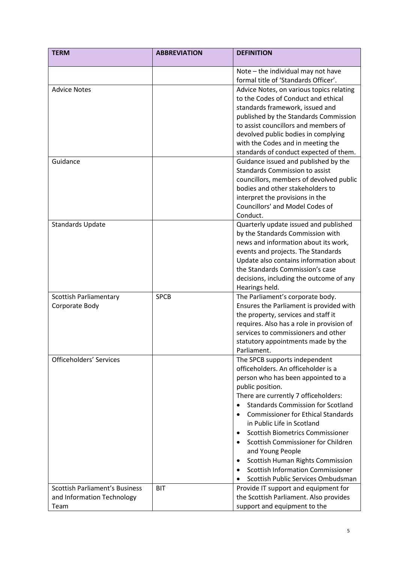| <b>TERM</b>                           | <b>ABBREVIATION</b> | <b>DEFINITION</b>                                                                |
|---------------------------------------|---------------------|----------------------------------------------------------------------------------|
|                                       |                     | Note - the individual may not have                                               |
|                                       |                     | formal title of 'Standards Officer'.                                             |
| <b>Advice Notes</b>                   |                     | Advice Notes, on various topics relating                                         |
|                                       |                     | to the Codes of Conduct and ethical                                              |
|                                       |                     | standards framework, issued and                                                  |
|                                       |                     | published by the Standards Commission                                            |
|                                       |                     | to assist councillors and members of                                             |
|                                       |                     | devolved public bodies in complying                                              |
|                                       |                     | with the Codes and in meeting the                                                |
|                                       |                     | standards of conduct expected of them.                                           |
| Guidance                              |                     | Guidance issued and published by the                                             |
|                                       |                     | <b>Standards Commission to assist</b>                                            |
|                                       |                     | councillors, members of devolved public                                          |
|                                       |                     | bodies and other stakeholders to                                                 |
|                                       |                     | interpret the provisions in the                                                  |
|                                       |                     | Councillors' and Model Codes of                                                  |
|                                       |                     | Conduct.                                                                         |
| <b>Standards Update</b>               |                     | Quarterly update issued and published                                            |
|                                       |                     | by the Standards Commission with                                                 |
|                                       |                     | news and information about its work,                                             |
|                                       |                     | events and projects. The Standards                                               |
|                                       |                     | Update also contains information about                                           |
|                                       |                     | the Standards Commission's case                                                  |
|                                       |                     | decisions, including the outcome of any                                          |
|                                       |                     | Hearings held.                                                                   |
| <b>Scottish Parliamentary</b>         | <b>SPCB</b>         | The Parliament's corporate body.                                                 |
| Corporate Body                        |                     | Ensures the Parliament is provided with                                          |
|                                       |                     | the property, services and staff it                                              |
|                                       |                     | requires. Also has a role in provision of<br>services to commissioners and other |
|                                       |                     |                                                                                  |
|                                       |                     | statutory appointments made by the<br>Parliament.                                |
| Officeholders' Services               |                     |                                                                                  |
|                                       |                     | The SPCB supports independent<br>officeholders. An officeholder is a             |
|                                       |                     | person who has been appointed to a                                               |
|                                       |                     |                                                                                  |
|                                       |                     | public position.<br>There are currently 7 officeholders:                         |
|                                       |                     | <b>Standards Commission for Scotland</b>                                         |
|                                       |                     | <b>Commissioner for Ethical Standards</b>                                        |
|                                       |                     | in Public Life in Scotland                                                       |
|                                       |                     | <b>Scottish Biometrics Commissioner</b>                                          |
|                                       |                     | Scottish Commissioner for Children<br>$\bullet$                                  |
|                                       |                     | and Young People                                                                 |
|                                       |                     | Scottish Human Rights Commission<br>٠                                            |
|                                       |                     | <b>Scottish Information Commissioner</b><br>$\bullet$                            |
|                                       |                     | Scottish Public Services Ombudsman                                               |
| <b>Scottish Parliament's Business</b> | <b>BIT</b>          | Provide IT support and equipment for                                             |
| and Information Technology            |                     | the Scottish Parliament. Also provides                                           |
| Team                                  |                     | support and equipment to the                                                     |